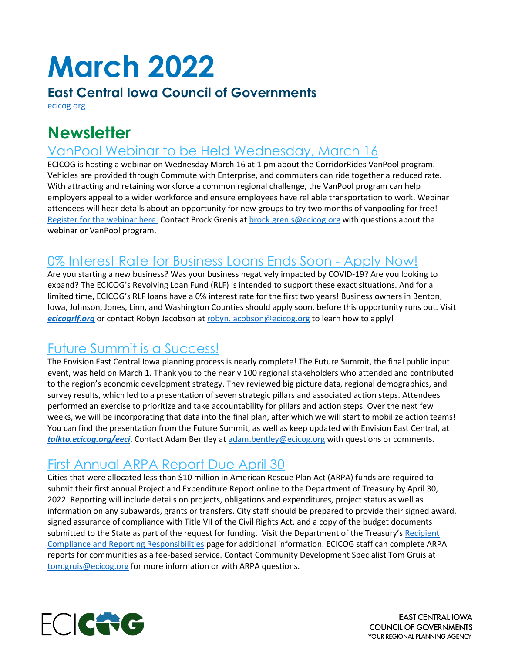# **March 2022**

#### **East Central Iowa Council of Governments**

[ecicog.org](http://ecicog.org/) 

## **Newsletter**

### VanPool Webinar to be Held Wednesday, March 16

ECICOG is hosting a webinar on Wednesday March 16 at 1 pm about the CorridorRides VanPool program. Vehicles are provided through Commute with Enterprise, and commuters can ride together a reduced rate. With attracting and retaining workforce a common regional challenge, the VanPool program can help employers appeal to a wider workforce and ensure employees have reliable transportation to work. Webinar attendees will hear details about an opportunity for new groups to try two months of vanpooling for free! [Register for the webinar here.](https://us06web.zoom.us/webinar/register/WN_x_6eqm-tSp2hsHEEdOwxEw) Contact Brock Grenis at [brock.grenis@ecicog.org](mailto:brock.grenis@ecicog.org) with questions about the webinar or VanPool program.

### 0% Interest Rate for Business Loans Ends Soon - Apply Now!

Are you starting a new business? Was your business negatively impacted by COVID-19? Are you looking to expand? The ECICOG's Revolving Loan Fund (RLF) is intended to support these exact situations. And for a limited time, ECICOG's RLF loans have a 0% interest rate for the first two years! Business owners in Benton, Iowa, Johnson, Jones, Linn, and Washington Counties should apply soon, before this opportunity runs out. Visit *[ecicogrlf.org](http://ecicogrlf.org/)* or contact Robyn Jacobson at [robyn.jacobson@ecicog.org](mailto:robyn.jacobson@ecicog.org) to learn how to apply!

## Future Summit is a Success!

The Envision East Central Iowa planning process is nearly complete! The Future Summit, the final public input event, was held on March 1. Thank you to the nearly 100 regional stakeholders who attended and contributed to the region's economic development strategy. They reviewed big picture data, regional demographics, and survey results, which led to a presentation of seven strategic pillars and associated action steps. Attendees performed an exercise to prioritize and take accountability for pillars and action steps. Over the next few weeks, we will be incorporating that data into the final plan, after which we will start to mobilize action teams! You can find the presentation from the Future Summit, as well as keep updated with Envision East Central, at *[talkto.ecicog.org/eeci](http://talkto.ecicog.org/eeci)*. Contact Adam Bentley a[t adam.bentley@ecicog.org](mailto:adam.bentley@ecicog.org) with questions or comments.

## First Annual ARPA Report Due April 30

Cities that were allocated less than \$10 million in American Rescue Plan Act (ARPA) funds are required to submit their first annual Project and Expenditure Report online to the Department of Treasury by April 30, 2022. Reporting will include details on projects, obligations and expenditures, project status as well as information on any subawards, grants or transfers. City staff should be prepared to provide their signed award, signed assurance of compliance with Title VII of the Civil Rights Act, and a copy of the budget documents submitted to the State as part of the request for funding. Visit the Department of the Treasury's Recipient [Compliance and Reporting Responsibilities](https://home.treasury.gov/policy-issues/coronavirus/assistance-for-state-local-and-tribal-governments/state-and-local-fiscal-recovery-funds/recipient-compliance-and-reporting-responsibilities) page for additional information. ECICOG staff can complete ARPA reports for communities as a fee-based service. Contact Community Development Specialist Tom Gruis at [tom.gruis@ecicog.org](mailto:tom.gruis@ecicog.org) for more information or with ARPA questions.



**EAST CENTRAL IOWA COUNCIL OF GOVERNMENTS** YOUR REGIONAL PLANNING AGENCY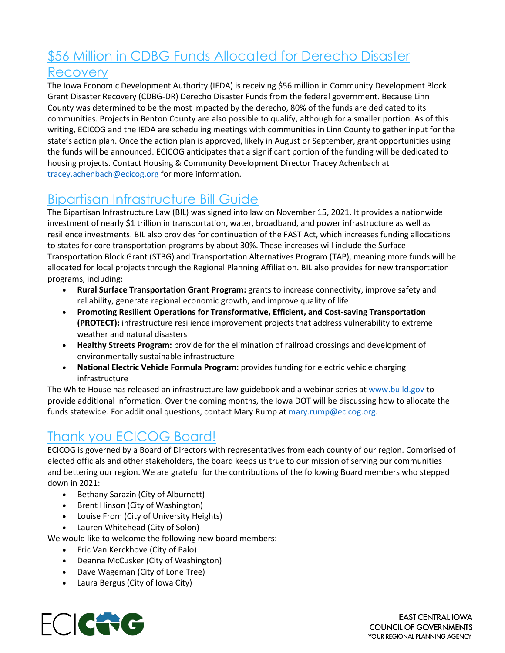# \$56 Million in CDBG Funds Allocated for Derecho Disaster

#### Recovery

The Iowa Economic Development Authority (IEDA) is receiving \$56 million in Community Development Block Grant Disaster Recovery (CDBG-DR) Derecho Disaster Funds from the federal government. Because Linn County was determined to be the most impacted by the derecho, 80% of the funds are dedicated to its communities. Projects in Benton County are also possible to qualify, although for a smaller portion. As of this writing, ECICOG and the IEDA are scheduling meetings with communities in Linn County to gather input for the state's action plan. Once the action plan is approved, likely in August or September, grant opportunities using the funds will be announced. ECICOG anticipates that a significant portion of the funding will be dedicated to housing projects. Contact Housing & Community Development Director Tracey Achenbach at [tracey.achenbach@ecicog.org](mailto:tracey.achenbach@ecicog.org) for more information.

## Bipartisan Infrastructure Bill Guide

The Bipartisan Infrastructure Law (BIL) was signed into law on November 15, 2021. It provides a nationwide investment of nearly \$1 trillion in transportation, water, broadband, and power infrastructure as well as resilience investments. BIL also provides for continuation of the FAST Act, which increases funding allocations to states for core transportation programs by about 30%. These increases will include the Surface Transportation Block Grant (STBG) and Transportation Alternatives Program (TAP), meaning more funds will be allocated for local projects through the Regional Planning Affiliation. BIL also provides for new transportation programs, including:

- **Rural Surface Transportation Grant Program:** grants to increase connectivity, improve safety and reliability, generate regional economic growth, and improve quality of life
- **Promoting Resilient Operations for Transformative, Efficient, and Cost-saving Transportation (PROTECT):** infrastructure resilience improvement projects that address vulnerability to extreme weather and natural disasters
- **Healthy Streets Program:** provide for the elimination of railroad crossings and development of environmentally sustainable infrastructure
- **National Electric Vehicle Formula Program:** provides funding for electric vehicle charging infrastructure

The White House has released an infrastructure law guidebook and a webinar series at [www.build.gov](https://lnks.gd/l/eyJhbGciOiJIUzI1NiJ9.eyJidWxsZXRpbl9saW5rX2lkIjoxMDEsInVyaSI6ImJwMjpjbGljayIsImJ1bGxldGluX2lkIjoiMjAyMjAzMDQuNTQ0MTU5OTEiLCJ1cmwiOiJodHRwOi8vd3d3LmJ1aWxkLmdvdi8_dXRtX2NvbnRlbnQ9JnV0bV9tZWRpdW09ZW1haWwmdXRtX25hbWU9JnV0bV9zb3VyY2U9Z292ZGVsaXZlcnkmdXRtX3Rlcm09In0.yFBvXLAPO_jimW38ZpBOzdwn2Q5JCx6OqKb1-akv4Nw/s/1115798838/br/127572695661-l) to provide additional information. Over the coming months, the Iowa DOT will be discussing how to allocate the funds statewide. For additional questions, contact Mary Rump at [mary.rump@ecicog.org.](mailto:mary.rump@ecicog.org)

## Thank you ECICOG Board!

ECICOG is governed by a Board of Directors with representatives from each county of our region. Comprised of elected officials and other stakeholders, the board keeps us true to our mission of serving our communities and bettering our region. We are grateful for the contributions of the following Board members who stepped down in 2021:

- Bethany Sarazin (City of Alburnett)
- Brent Hinson (City of Washington)
- Louise From (City of University Heights)
- Lauren Whitehead (City of Solon)

We would like to welcome the following new board members:

- Eric Van Kerckhove (City of Palo)
- Deanna McCusker (City of Washington)
- Dave Wageman (City of Lone Tree)
- Laura Bergus (City of Iowa City)



**EAST CENTRAL IOWA COUNCIL OF GOVERNMENTS** YOUR REGIONAL PLANNING AGENCY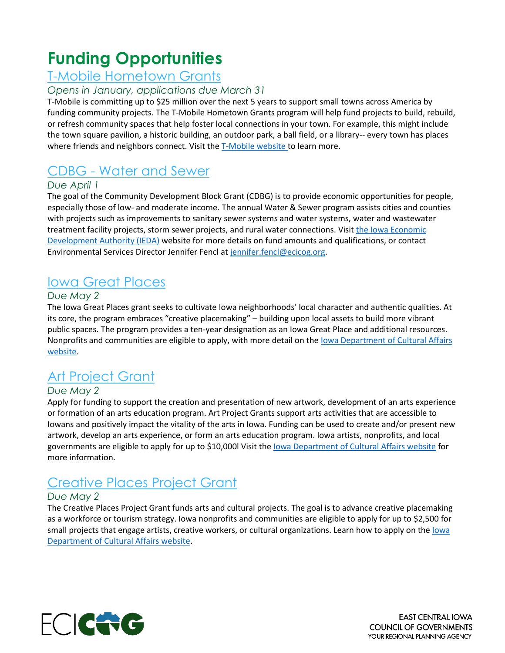# **Funding Opportunities**

#### T-Mobile Hometown Grants

#### *Opens in January, applications due March 31*

T-Mobile is committing up to \$25 million over the next 5 years to support small towns across America by funding community projects. The T-Mobile Hometown Grants program will help fund projects to build, rebuild, or refresh community spaces that help foster local connections in your town. For example, this might include the town square pavilion, a historic building, an outdoor park, a ball field, or a library-- every town has places where friends and neighbors connect. Visit th[e T-Mobile website](https://www.t-mobile.com/brand/hometown-grants) to learn more.

## CDBG - Water and Sewer

#### *Due April 1*

The goal of the Community Development Block Grant (CDBG) is to provide economic opportunities for people, especially those of low- and moderate income. The annual Water & Sewer program assists cities and counties with projects such as improvements to sanitary sewer systems and water systems, water and wastewater treatment facility projects, storm sewer projects, and rural water connections. Visit the Iowa Economic [Development Authority \(IEDA\)](https://www.iowaeda.com/cdbg/water-sewer/) website for more details on fund amounts and qualifications, or contact Environmental Services Director Jennifer Fencl at [jennifer.fencl@ecicog.org.](mailto:Jennifer.fencl@ecicog.org)

## Iowa Great Places

#### *Due May 2*

The Iowa Great Places grant seeks to cultivate Iowa neighborhoods' local character and authentic qualities. At its core, the program embraces "creative placemaking" – building upon local assets to build more vibrant public spaces. The program provides a ten-year designation as an Iowa Great Place and additional resources. Nonprofits and communities are eligible to apply, with more detail on the [Iowa Department of Cultural Affairs](https://iowaculture.gov/about-us/about/grants/iowa-great-places)  [website.](https://iowaculture.gov/about-us/about/grants/iowa-great-places)

## Art Project Grant

#### *Due May 2*

Apply for funding to support the creation and presentation of new artwork, development of an arts experience or formation of an arts education program. Art Project Grants support arts activities that are accessible to Iowans and positively impact the vitality of the arts in Iowa. Funding can be used to create and/or present new artwork, develop an arts experience, or form an arts education program. Iowa artists, nonprofits, and local governments are eligible to apply for up to \$10,000l Visit the lowa Department of Cultural Affairs website for more information.

## Creative Places Project Grant

#### *Due May 2*

The Creative Places Project Grant funds arts and cultural projects. The goal is to advance creative placemaking as a workforce or tourism strategy. Iowa nonprofits and communities are eligible to apply for up to \$2,500 for small projects that engage artists, creative workers, or cultural organizations. Learn how to apply on the lowa [Department of Cultural Affairs website.](https://iowaculture.gov/about-us/about/grants/creative-places-project-grant)



**EAST CENTRAL IOWA COUNCIL OF GOVERNMENTS** YOUR REGIONAL PLANNING AGENCY